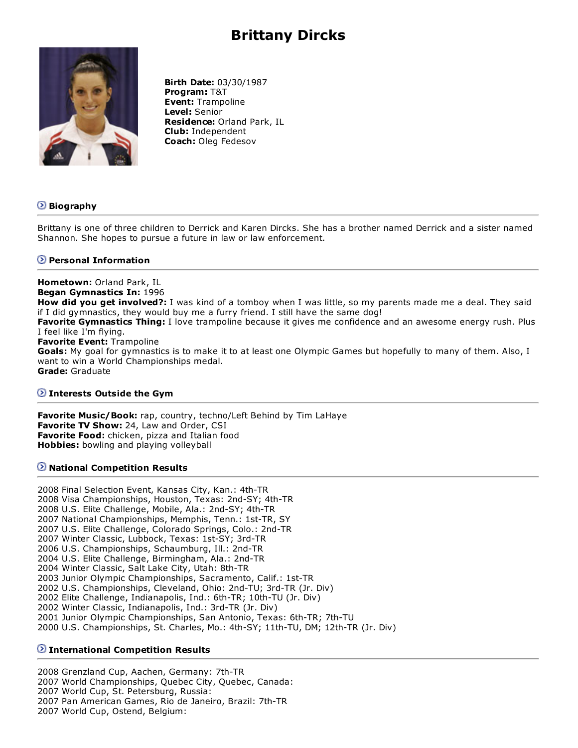# **Brittany Dircks**



**Birth Date:** 03/30/1987 **Program:** T&T **Event:** Trampoline **Level:** Senior **Residence:** Orland Park, IL **Club:** Independent **Coach:** Oleg Fedesov

# **Biography**

Brittany is one of three children to Derrick and Karen Dircks. She has a brother named Derrick and a sister named Shannon. She hopes to pursue a future in law or law enforcement.

## **Personal Information**

**Hometown:** Orland Park, IL **Began Gymnastics In:** 1996 **How did you get involved?:** I was kind of a tomboy when I was little, so my parents made me a deal. They said if I did gymnastics, they would buy me a furry friend. I still have the same dog! **Favorite Gymnastics Thing:** I love trampoline because it gives me confidence and an awesome energy rush. Plus I feel like I'm flying. **Favorite Event:** Trampoline **Goals:** My goal for gymnastics is to make it to at least one Olympic Games but hopefully to many of them. Also, I want to win a World Championships medal. **Grade:** Graduate

#### **Interests Outside the Gym**

**Favorite Music/Book:** rap, country, techno/Left Behind by Tim LaHaye **Favorite TV Show:** 24, Law and Order, CSI **Favorite Food:** chicken, pizza and Italian food **Hobbies:** bowling and playing volleyball

#### $\Omega$  **National Competition Results**

2008 Final Selection Event, Kansas City, Kan.: 4th-TR 2008 Visa Championships, Houston, Texas: 2nd-SY; 4th-TR 2008 U.S. Elite Challenge, Mobile, Ala.: 2nd-SY; 4th-TR 2007 National Championships, Memphis, Tenn.: 1st-TR, SY 2007 U.S. Elite Challenge, Colorado Springs, Colo.: 2nd-TR 2007 Winter Classic, Lubbock, Texas: 1st-SY; 3rd-TR 2006 U.S. Championships, Schaumburg, Ill.: 2nd-TR 2004 U.S. Elite Challenge, Birmingham, Ala.: 2nd-TR 2004 Winter Classic, Salt Lake City, Utah: 8th-TR 2003 Junior Olympic Championships, Sacramento, Calif.: 1st-TR 2002 U.S. Championships, Cleveland, Ohio: 2nd-TU; 3rd-TR (Jr. Div) 2002 Elite Challenge, Indianapolis, Ind.: 6th-TR; 10th-TU (Jr. Div) 2002 Winter Classic, Indianapolis, Ind.: 3rd-TR (Jr. Div) 2001 Junior Olympic Championships, San Antonio, Texas: 6th-TR; 7th-TU 2000 U.S. Championships, St. Charles, Mo.: 4th-SY; 11th-TU, DM; 12th-TR (Jr. Div)

## **International Competition Results**

2008 Grenzland Cup, Aachen, Germany: 7th-TR 2007 World Championships, Quebec City, Quebec, Canada: 2007 World Cup, St. Petersburg, Russia: 2007 Pan American Games, Rio de Janeiro, Brazil: 7th-TR 2007 World Cup, Ostend, Belgium: